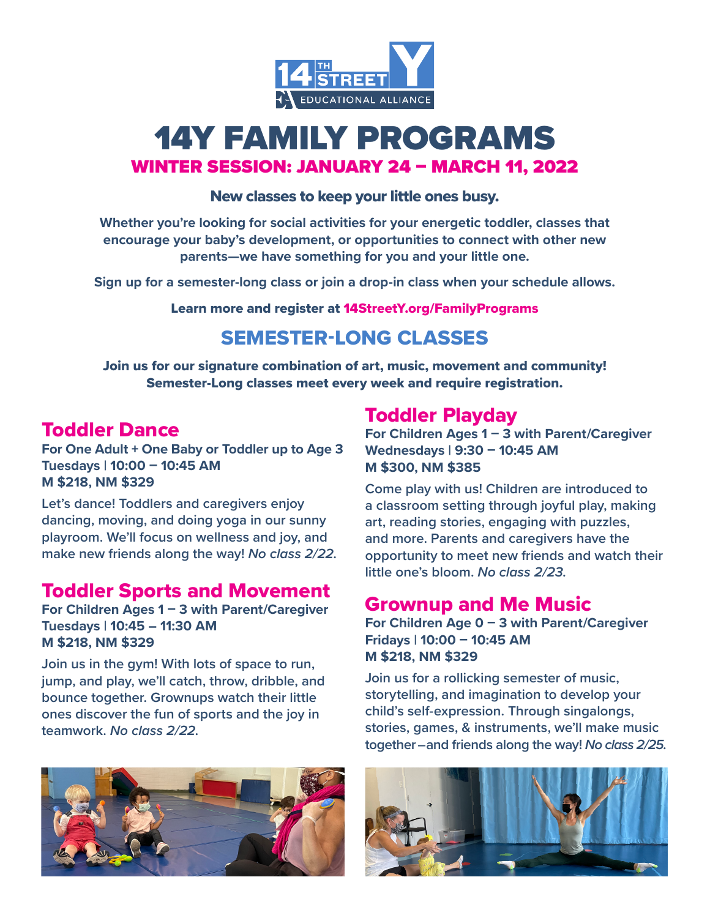

# 14Y FAMILY PROGRAMS WINTER SESSION: JANUARY 24 – MARCH 11, 2022

#### New classes to keep your little ones busy.

**Whether you're looking for social activities for your energetic toddler, classes that encourage your baby's development, or opportunities to connect with other new parents—we have something for you and your little one.**

**Sign up for a semester-long class or join a drop-in class when your schedule allows.** 

Learn more and register at 14StreetY.org/FamilyPrograms

## SEMESTER-LONG CLASSES

Join us for our signature combination of art, music, movement and community! Semester-Long classes meet every week and require registration.

#### Toddler Dance

**For One Adult** + **One Baby or Toddler up to Age 3 Tuesdays | 10:00 – 10:45 AM M \$218, NM \$329** 

**Let's dance! Toddlers and caregivers enjoy dancing, moving, and doing yoga in our sunny playroom. We'll focus on wellness and joy, and make new friends along the way!** *No class 2/22.*

#### Toddler Sports and Movement

**For Children Ages 1 – 3 with Parent/Caregiver Tuesdays | 10:45 – 11:30 AM M \$218, NM \$329** 

**Join us in the gym! With lots of space to run, jump, and play, we'll catch, throw, dribble, and bounce together. Grownups watch their little ones discover the fun of sports and the joy in teamwork.** *No class 2/22.*



Toddler Playday **For Children Ages 1 – 3 with Parent/Caregiver Wednesdays | 9:30 – 10:45 AM M \$300, NM \$385**

**Come play with us! Children are introduced to a classroom setting through joyful play, making art, reading stories, engaging with puzzles, and more. Parents and caregivers have the opportunity to meet new friends and watch their little one's bloom.** *No class 2/23.*

#### Grownup and Me Music

**For Children Age 0 – 3 with Parent/Caregiver Fridays | 10:00 – 10:45 AM M \$218, NM \$329**

**Join us for a rollicking semester of music, storytelling, and imagination to develop your child's self-expression. Through singalongs, stories, games, & instruments, we'll make music together – and friends along the way!** *No class 2/25.*